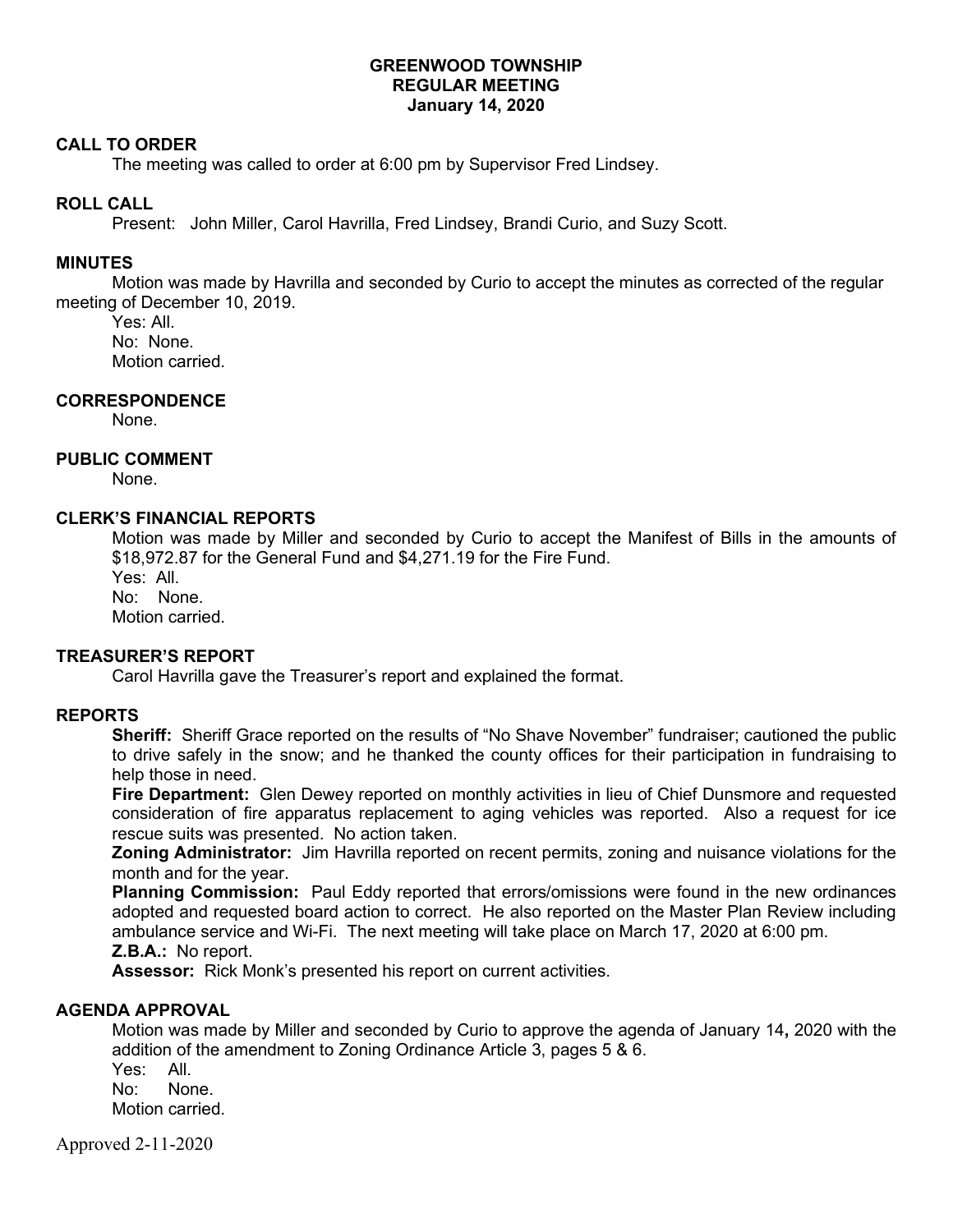## **GREENWOOD TOWNSHIP REGULAR MEETING January 14, 2020**

### **CALL TO ORDER**

The meeting was called to order at 6:00 pm by Supervisor Fred Lindsey.

### **ROLL CALL**

Present: John Miller, Carol Havrilla, Fred Lindsey, Brandi Curio, and Suzy Scott.

### **MINUTES**

Motion was made by Havrilla and seconded by Curio to accept the minutes as corrected of the regular meeting of December 10, 2019.

Yes: All. No: None. Motion carried.

### **CORRESPONDENCE**

None.

### **PUBLIC COMMENT**

None.

### **CLERK'S FINANCIAL REPORTS**

Motion was made by Miller and seconded by Curio to accept the Manifest of Bills in the amounts of \$18,972.87 for the General Fund and \$4,271.19 for the Fire Fund.

Yes: All.

No: None. Motion carried.

## **TREASURER'S REPORT**

Carol Havrilla gave the Treasurer's report and explained the format.

#### **REPORTS**

**Sheriff:** Sheriff Grace reported on the results of "No Shave November" fundraiser; cautioned the public to drive safely in the snow; and he thanked the county offices for their participation in fundraising to help those in need.

**Fire Department:** Glen Dewey reported on monthly activities in lieu of Chief Dunsmore and requested consideration of fire apparatus replacement to aging vehicles was reported. Also a request for ice rescue suits was presented. No action taken.

**Zoning Administrator:** Jim Havrilla reported on recent permits, zoning and nuisance violations for the month and for the year.

**Planning Commission:** Paul Eddy reported that errors/omissions were found in the new ordinances adopted and requested board action to correct. He also reported on the Master Plan Review including ambulance service and Wi-Fi. The next meeting will take place on March 17, 2020 at 6:00 pm. **Z.B.A.:** No report.

**Assessor:** Rick Monk's presented his report on current activities.

## **AGENDA APPROVAL**

Motion was made by Miller and seconded by Curio to approve the agenda of January 14**,** 2020 with the addition of the amendment to Zoning Ordinance Article 3, pages 5 & 6.

Yes: All. No: None. Motion carried.

Approved 2-11-2020